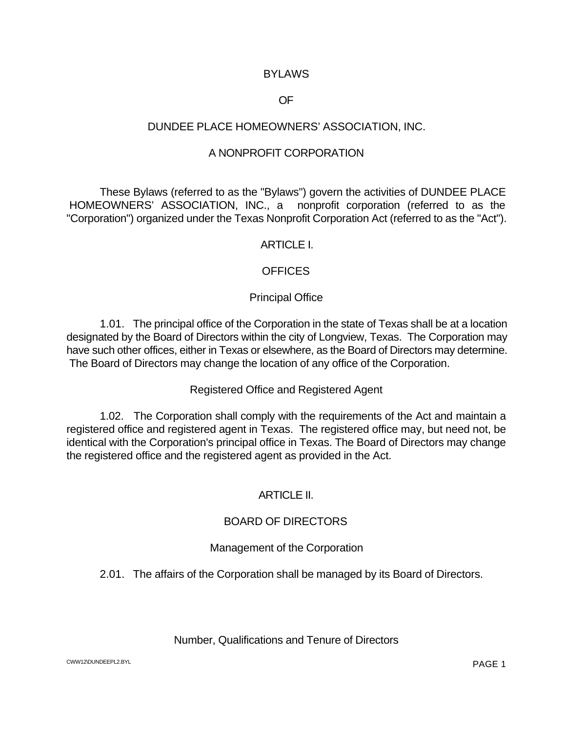### **BYLAWS**

### OF

### DUNDEE PLACE HOMEOWNERS' ASSOCIATION, INC.

### A NONPROFIT CORPORATION

These Bylaws (referred to as the "Bylaws") govern the activities of DUNDEE PLACE HOMEOWNERS' ASSOCIATION, INC., a nonprofit corporation (referred to as the "Corporation") organized under the Texas Nonprofit Corporation Act (referred to as the "Act").

### ARTICLE I.

### OFFICES

## Principal Office

1.01. The principal office of the Corporation in the state of Texas shall be at a location designated by the Board of Directors within the city of Longview, Texas. The Corporation may have such other offices, either in Texas or elsewhere, as the Board of Directors may determine. The Board of Directors may change the location of any office of the Corporation.

### Registered Office and Registered Agent

1.02. The Corporation shall comply with the requirements of the Act and maintain a registered office and registered agent in Texas. The registered office may, but need not, be identical with the Corporation's principal office in Texas. The Board of Directors may change the registered office and the registered agent as provided in the Act.

### ARTICLE II.

### BOARD OF DIRECTORS

### Management of the Corporation

2.01. The affairs of the Corporation shall be managed by its Board of Directors.

### Number, Qualifications and Tenure of Directors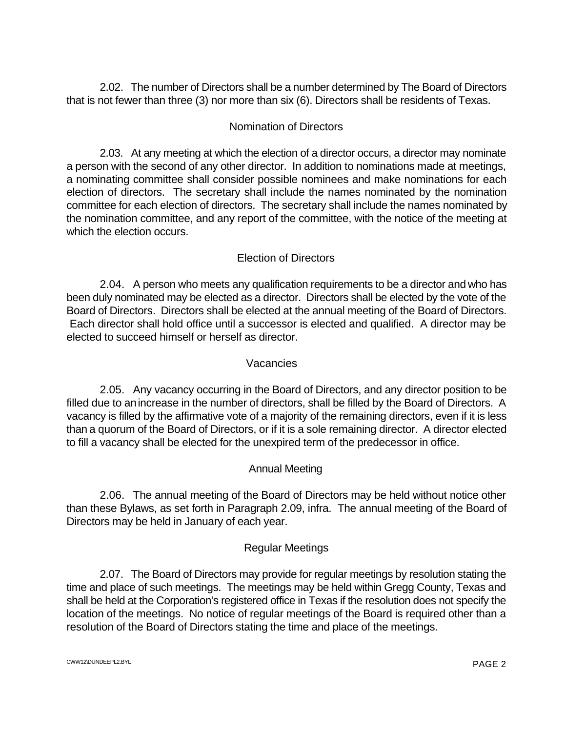2.02. The number of Directors shall be a number determined by The Board of Directors that is not fewer than three (3) nor more than six (6). Directors shall be residents of Texas.

# Nomination of Directors

2.03. At any meeting at which the election of a director occurs, a director may nominate a person with the second of any other director. In addition to nominations made at meetings, a nominating committee shall consider possible nominees and make nominations for each election of directors. The secretary shall include the names nominated by the nomination committee for each election of directors. The secretary shall include the names nominated by the nomination committee, and any report of the committee, with the notice of the meeting at which the election occurs.

# Election of Directors

2.04. A person who meets any qualification requirements to be a director and who has been duly nominated may be elected as a director. Directors shall be elected by the vote of the Board of Directors. Directors shall be elected at the annual meeting of the Board of Directors. Each director shall hold office until a successor is elected and qualified. A director may be elected to succeed himself or herself as director.

### Vacancies

2.05. Any vacancy occurring in the Board of Directors, and any director position to be filled due to anincrease in the number of directors, shall be filled by the Board of Directors. A vacancy is filled by the affirmative vote of a majority of the remaining directors, even if it is less than a quorum of the Board of Directors, or if it is a sole remaining director. A director elected to fill a vacancy shall be elected for the unexpired term of the predecessor in office.

## Annual Meeting

2.06. The annual meeting of the Board of Directors may be held without notice other than these Bylaws, as set forth in Paragraph 2.09, infra. The annual meeting of the Board of Directors may be held in January of each year.

## Regular Meetings

2.07. The Board of Directors may provide for regular meetings by resolution stating the time and place of such meetings. The meetings may be held within Gregg County, Texas and shall be held at the Corporation's registered office in Texas if the resolution does not specify the location of the meetings. No notice of regular meetings of the Board is required other than a resolution of the Board of Directors stating the time and place of the meetings.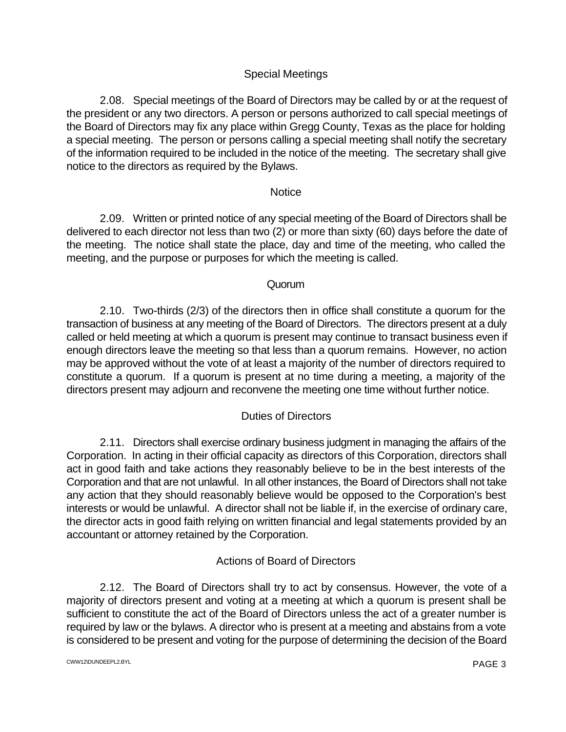# Special Meetings

2.08. Special meetings of the Board of Directors may be called by or at the request of the president or any two directors. A person or persons authorized to call special meetings of the Board of Directors may fix any place within Gregg County, Texas as the place for holding a special meeting. The person or persons calling a special meeting shall notify the secretary of the information required to be included in the notice of the meeting. The secretary shall give notice to the directors as required by the Bylaws.

## **Notice**

2.09. Written or printed notice of any special meeting of the Board of Directors shall be delivered to each director not less than two (2) or more than sixty (60) days before the date of the meeting. The notice shall state the place, day and time of the meeting, who called the meeting, and the purpose or purposes for which the meeting is called.

# **Quorum**

2.10. Two-thirds (2/3) of the directors then in office shall constitute a quorum for the transaction of business at any meeting of the Board of Directors. The directors present at a duly called or held meeting at which a quorum is present may continue to transact business even if enough directors leave the meeting so that less than a quorum remains. However, no action may be approved without the vote of at least a majority of the number of directors required to constitute a quorum. If a quorum is present at no time during a meeting, a majority of the directors present may adjourn and reconvene the meeting one time without further notice.

# Duties of Directors

2.11. Directors shall exercise ordinary business judgment in managing the affairs of the Corporation. In acting in their official capacity as directors of this Corporation, directors shall act in good faith and take actions they reasonably believe to be in the best interests of the Corporation and that are not unlawful. In all other instances, the Board of Directors shall not take any action that they should reasonably believe would be opposed to the Corporation's best interests or would be unlawful. A director shall not be liable if, in the exercise of ordinary care, the director acts in good faith relying on written financial and legal statements provided by an accountant or attorney retained by the Corporation.

# Actions of Board of Directors

2.12. The Board of Directors shall try to act by consensus. However, the vote of a majority of directors present and voting at a meeting at which a quorum is present shall be sufficient to constitute the act of the Board of Directors unless the act of a greater number is required by law or the bylaws. A director who is present at a meeting and abstains from a vote is considered to be present and voting for the purpose of determining the decision of the Board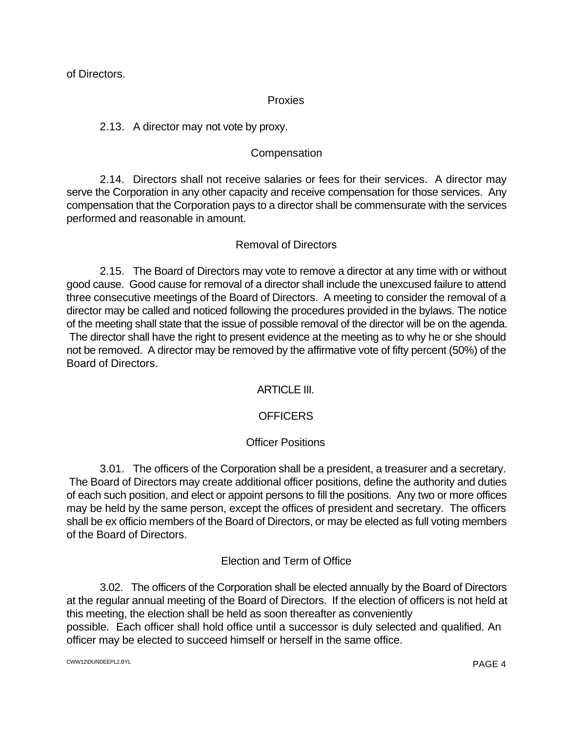of Directors.

### Proxies

## 2.13. A director may not vote by proxy.

# **Compensation**

2.14. Directors shall not receive salaries or fees for their services. A director may serve the Corporation in any other capacity and receive compensation for those services. Any compensation that the Corporation pays to a director shall be commensurate with the services performed and reasonable in amount.

### Removal of Directors

2.15. The Board of Directors may vote to remove a director at any time with or without good cause. Good cause for removal of a director shall include the unexcused failure to attend three consecutive meetings of the Board of Directors. A meeting to consider the removal of a director may be called and noticed following the procedures provided in the bylaws. The notice of the meeting shall state that the issue of possible removal of the director will be on the agenda. The director shall have the right to present evidence at the meeting as to why he or she should not be removed. A director may be removed by the affirmative vote of fifty percent (50%) of the Board of Directors.

## ARTICLE III.

## **OFFICERS**

## Officer Positions

3.01. The officers of the Corporation shall be a president, a treasurer and a secretary. The Board of Directors may create additional officer positions, define the authority and duties of each such position, and elect or appoint persons to fill the positions. Any two or more offices may be held by the same person, except the offices of president and secretary. The officers shall be ex officio members of the Board of Directors, or may be elected as full voting members of the Board of Directors.

## Election and Term of Office

3.02. The officers of the Corporation shall be elected annually by the Board of Directors at the regular annual meeting of the Board of Directors. If the election of officers is not held at this meeting, the election shall be held as soon thereafter as conveniently possible. Each officer shall hold office until a successor is duly selected and qualified. An officer may be elected to succeed himself or herself in the same office.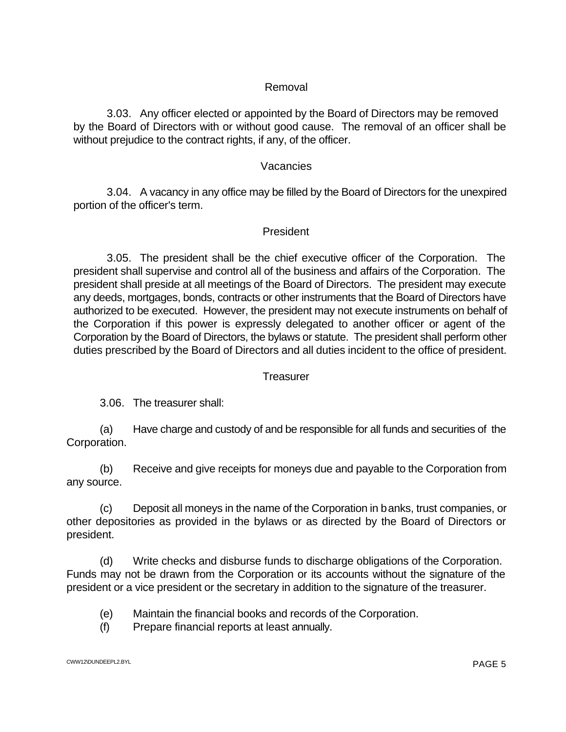### Removal

3.03. Any officer elected or appointed by the Board of Directors may be removed by the Board of Directors with or without good cause. The removal of an officer shall be without prejudice to the contract rights, if any, of the officer.

### Vacancies

3.04. A vacancy in any office may be filled by the Board of Directors for the unexpired portion of the officer's term.

### President

3.05. The president shall be the chief executive officer of the Corporation. The president shall supervise and control all of the business and affairs of the Corporation. The president shall preside at all meetings of the Board of Directors. The president may execute any deeds, mortgages, bonds, contracts or other instruments that the Board of Directors have authorized to be executed. However, the president may not execute instruments on behalf of the Corporation if this power is expressly delegated to another officer or agent of the Corporation by the Board of Directors, the bylaws or statute. The president shall perform other duties prescribed by the Board of Directors and all duties incident to the office of president.

### **Treasurer**

3.06. The treasurer shall:

(a) Have charge and custody of and be responsible for all funds and securities of the Corporation.

(b) Receive and give receipts for moneys due and payable to the Corporation from any source.

(c) Deposit all moneys in the name of the Corporation in banks, trust companies, or other depositories as provided in the bylaws or as directed by the Board of Directors or president.

(d) Write checks and disburse funds to discharge obligations of the Corporation. Funds may not be drawn from the Corporation or its accounts without the signature of the president or a vice president or the secretary in addition to the signature of the treasurer.

- (e) Maintain the financial books and records of the Corporation.
- (f) Prepare financial reports at least annually.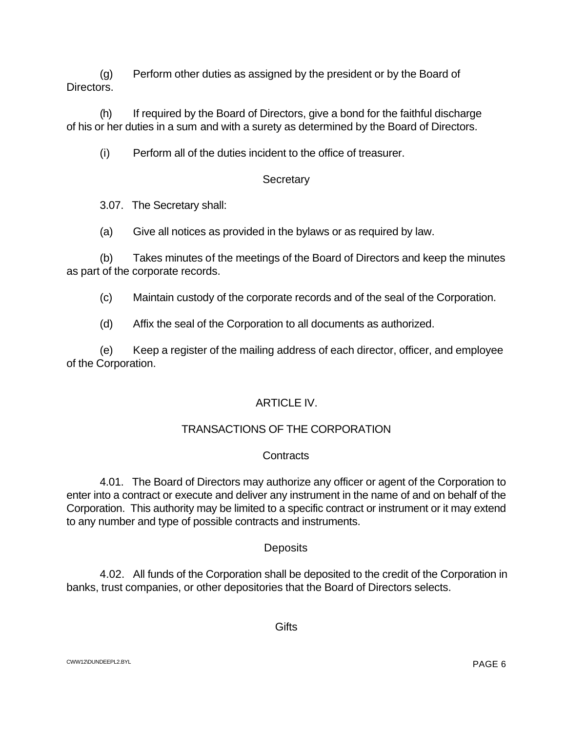(g) Perform other duties as assigned by the president or by the Board of Directors.

(h) If required by the Board of Directors, give a bond for the faithful discharge of his or her duties in a sum and with a surety as determined by the Board of Directors.

(i) Perform all of the duties incident to the office of treasurer.

# **Secretary**

3.07. The Secretary shall:

(a) Give all notices as provided in the bylaws or as required by law.

(b) Takes minutes of the meetings of the Board of Directors and keep the minutes as part of the corporate records.

- (c) Maintain custody of the corporate records and of the seal of the Corporation.
- (d) Affix the seal of the Corporation to all documents as authorized.

(e) Keep a register of the mailing address of each director, officer, and employee of the Corporation.

# ARTICLE IV.

# TRANSACTIONS OF THE CORPORATION

## **Contracts**

4.01. The Board of Directors may authorize any officer or agent of the Corporation to enter into a contract or execute and deliver any instrument in the name of and on behalf of the Corporation. This authority may be limited to a specific contract or instrument or it may extend to any number and type of possible contracts and instruments.

## **Deposits**

4.02. All funds of the Corporation shall be deposited to the credit of the Corporation in banks, trust companies, or other depositories that the Board of Directors selects.

**Gifts**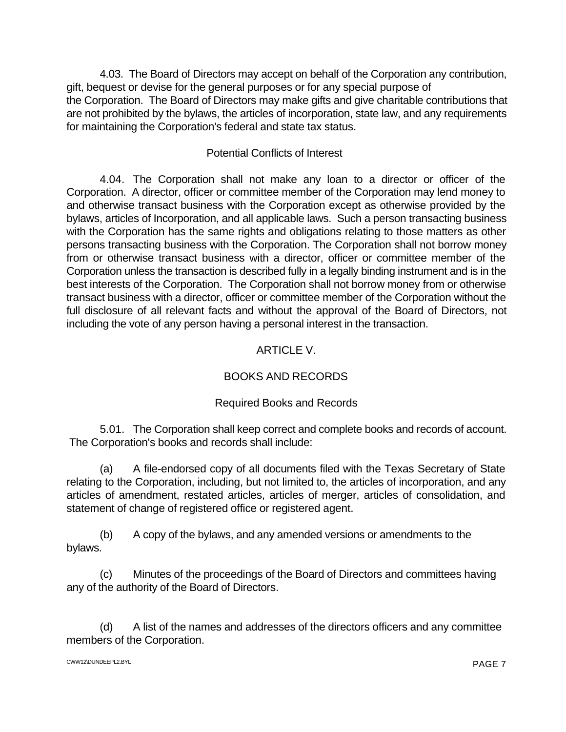4.03. The Board of Directors may accept on behalf of the Corporation any contribution, gift, bequest or devise for the general purposes or for any special purpose of the Corporation. The Board of Directors may make gifts and give charitable contributions that are not prohibited by the bylaws, the articles of incorporation, state law, and any requirements for maintaining the Corporation's federal and state tax status.

# Potential Conflicts of Interest

4.04. The Corporation shall not make any loan to a director or officer of the Corporation. A director, officer or committee member of the Corporation may lend money to and otherwise transact business with the Corporation except as otherwise provided by the bylaws, articles of Incorporation, and all applicable laws. Such a person transacting business with the Corporation has the same rights and obligations relating to those matters as other persons transacting business with the Corporation. The Corporation shall not borrow money from or otherwise transact business with a director, officer or committee member of the Corporation unless the transaction is described fully in a legally binding instrument and is in the best interests of the Corporation. The Corporation shall not borrow money from or otherwise transact business with a director, officer or committee member of the Corporation without the full disclosure of all relevant facts and without the approval of the Board of Directors, not including the vote of any person having a personal interest in the transaction.

# ARTICLE V.

# BOOKS AND RECORDS

# Required Books and Records

5.01. The Corporation shall keep correct and complete books and records of account. The Corporation's books and records shall include:

(a) A file-endorsed copy of all documents filed with the Texas Secretary of State relating to the Corporation, including, but not limited to, the articles of incorporation, and any articles of amendment, restated articles, articles of merger, articles of consolidation, and statement of change of registered office or registered agent.

(b) A copy of the bylaws, and any amended versions or amendments to the bylaws.

(c) Minutes of the proceedings of the Board of Directors and committees having any of the authority of the Board of Directors.

(d) A list of the names and addresses of the directors officers and any committee members of the Corporation.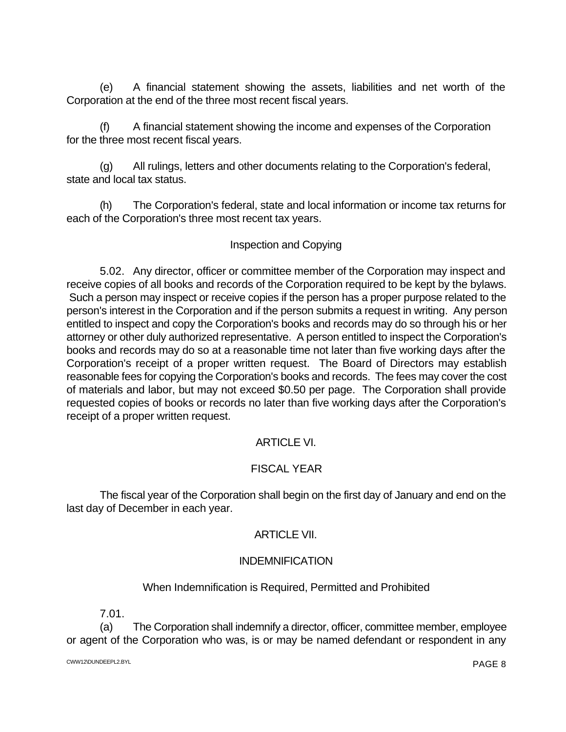(e) A financial statement showing the assets, liabilities and net worth of the Corporation at the end of the three most recent fiscal years.

(f) A financial statement showing the income and expenses of the Corporation for the three most recent fiscal years.

(g) All rulings, letters and other documents relating to the Corporation's federal, state and local tax status.

(h) The Corporation's federal, state and local information or income tax returns for each of the Corporation's three most recent tax years.

## Inspection and Copying

5.02. Any director, officer or committee member of the Corporation may inspect and receive copies of all books and records of the Corporation required to be kept by the bylaws. Such a person may inspect or receive copies if the person has a proper purpose related to the person's interest in the Corporation and if the person submits a request in writing. Any person entitled to inspect and copy the Corporation's books and records may do so through his or her attorney or other duly authorized representative. A person entitled to inspect the Corporation's books and records may do so at a reasonable time not later than five working days after the Corporation's receipt of a proper written request. The Board of Directors may establish reasonable fees for copying the Corporation's books and records. The fees may cover the cost of materials and labor, but may not exceed \$0.50 per page. The Corporation shall provide requested copies of books or records no later than five working days after the Corporation's receipt of a proper written request.

# ARTICLE VI.

# FISCAL YEAR

The fiscal year of the Corporation shall begin on the first day of January and end on the last day of December in each year.

# ARTICLE VII.

# INDEMNIFICATION

# When Indemnification is Required, Permitted and Prohibited

7.01.

(a) The Corporation shall indemnify a director, officer, committee member, employee or agent of the Corporation who was, is or may be named defendant or respondent in any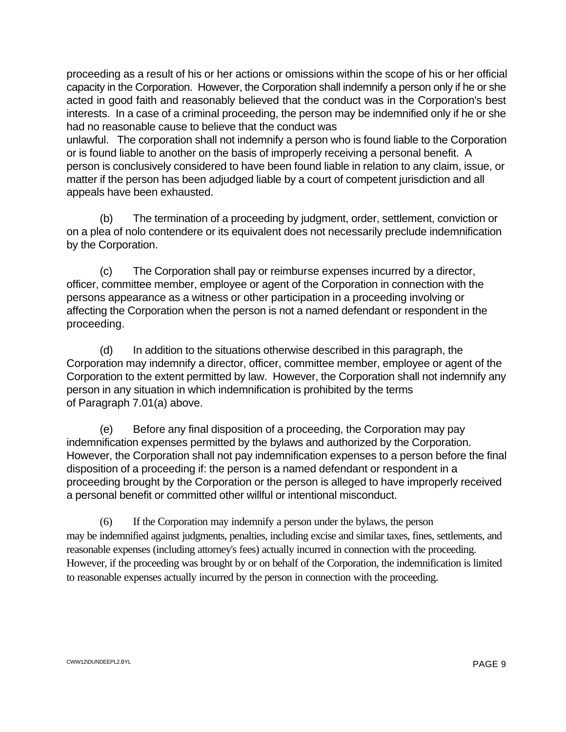proceeding as a result of his or her actions or omissions within the scope of his or her official capacity in the Corporation. However, the Corporation shall indemnify a person only if he or she acted in good faith and reasonably believed that the conduct was in the Corporation's best interests. In a case of a criminal proceeding, the person may be indemnified only if he or she had no reasonable cause to believe that the conduct was

unlawful. The corporation shall not indemnify a person who is found liable to the Corporation or is found liable to another on the basis of improperly receiving a personal benefit. A person is conclusively considered to have been found liable in relation to any claim, issue, or matter if the person has been adjudged liable by a court of competent jurisdiction and all appeals have been exhausted.

(b) The termination of a proceeding by judgment, order, settlement, conviction or on a plea of nolo contendere or its equivalent does not necessarily preclude indemnification by the Corporation.

(c) The Corporation shall pay or reimburse expenses incurred by a director, officer, committee member, employee or agent of the Corporation in connection with the persons appearance as a witness or other participation in a proceeding involving or affecting the Corporation when the person is not a named defendant or respondent in the proceeding.

(d) In addition to the situations otherwise described in this paragraph, the Corporation may indemnify a director, officer, committee member, employee or agent of the Corporation to the extent permitted by law. However, the Corporation shall not indemnify any person in any situation in which indemnification is prohibited by the terms of Paragraph 7.01(a) above.

(e) Before any final disposition of a proceeding, the Corporation may pay indemnification expenses permitted by the bylaws and authorized by the Corporation. However, the Corporation shall not pay indemnification expenses to a person before the final disposition of a proceeding if: the person is a named defendant or respondent in a proceeding brought by the Corporation or the person is alleged to have improperly received a personal benefit or committed other willful or intentional misconduct.

(6) If the Corporation may indemnify a person under the bylaws, the person may be indemnified against judgments, penalties, including excise and similar taxes, fines, settlements, and reasonable expenses (including attorney's fees) actually incurred in connection with the proceeding. However, if the proceeding was brought by or on behalf of the Corporation, the indemnification is limited to reasonable expenses actually incurred by the person in connection with the proceeding.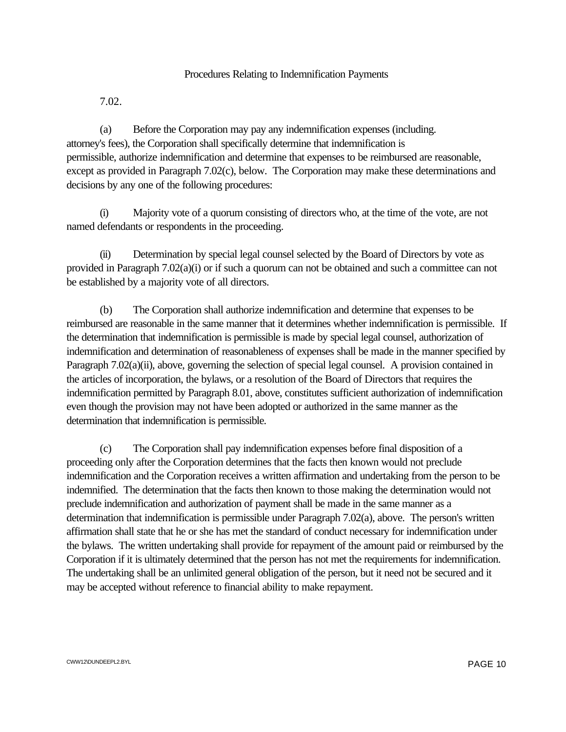### Procedures Relating to Indemnification Payments

7.02.

(a) Before the Corporation may pay any indemnification expenses (including. attorney's fees), the Corporation shall specifically determine that indemnification is permissible, authorize indemnification and determine that expenses to be reimbursed are reasonable, except as provided in Paragraph 7.02(c), below. The Corporation may make these determinations and decisions by any one of the following procedures:

(i) Majority vote of a quorum consisting of directors who, at the time of the vote, are not named defendants or respondents in the proceeding.

(ii) Determination by special legal counsel selected by the Board of Directors by vote as provided in Paragraph 7.02(a)(i) or if such a quorum can not be obtained and such a committee can not be established by a majority vote of all directors.

(b) The Corporation shall authorize indemnification and determine that expenses to be reimbursed are reasonable in the same manner that it determines whether indemnification is permissible. If the determination that indemnification is permissible is made by special legal counsel, authorization of indemnification and determination of reasonableness of expenses shall be made in the manner specified by Paragraph 7.02(a)(ii), above, governing the selection of special legal counsel. A provision contained in the articles of incorporation, the bylaws, or a resolution of the Board of Directors that requires the indemnification permitted by Paragraph 8.01, above, constitutes sufficient authorization of indemnification even though the provision may not have been adopted or authorized in the same manner as the determination that indemnification is permissible.

(c) The Corporation shall pay indemnification expenses before final disposition of a proceeding only after the Corporation determines that the facts then known would not preclude indemnification and the Corporation receives a written affirmation and undertaking from the person to be indemnified. The determination that the facts then known to those making the determination would not preclude indemnification and authorization of payment shall be made in the same manner as a determination that indemnification is permissible under Paragraph 7.02(a), above. The person's written affirmation shall state that he or she has met the standard of conduct necessary for indemnification under the bylaws. The written undertaking shall provide for repayment of the amount paid or reimbursed by the Corporation if it is ultimately determined that the person has not met the requirements for indemnification. The undertaking shall be an unlimited general obligation of the person, but it need not be secured and it may be accepted without reference to financial ability to make repayment.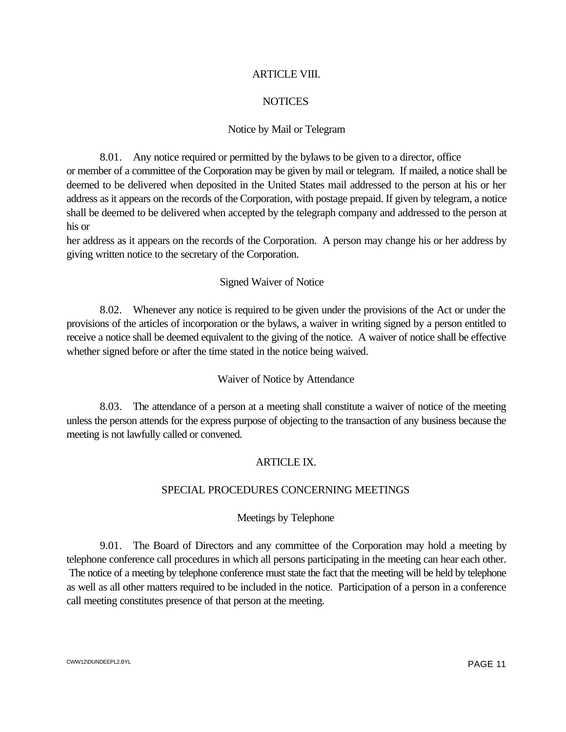#### ARTICLE VIII.

### **NOTICES**

#### Notice by Mail or Telegram

8.01. Any notice required or permitted by the bylaws to be given to a director, office or member of a committee of the Corporation may be given by mail or telegram. If mailed, a notice shall be deemed to be delivered when deposited in the United States mail addressed to the person at his or her address as it appears on the records of the Corporation, with postage prepaid. If given by telegram, a notice shall be deemed to be delivered when accepted by the telegraph company and addressed to the person at his or

her address as it appears on the records of the Corporation. A person may change his or her address by giving written notice to the secretary of the Corporation.

#### Signed Waiver of Notice

8.02. Whenever any notice is required to be given under the provisions of the Act or under the provisions of the articles of incorporation or the bylaws, a waiver in writing signed by a person entitled to receive a notice shall be deemed equivalent to the giving of the notice. A waiver of notice shall be effective whether signed before or after the time stated in the notice being waived.

#### Waiver of Notice by Attendance

8.03. The attendance of a person at a meeting shall constitute a waiver of notice of the meeting unless the person attends for the express purpose of objecting to the transaction of any business because the meeting is not lawfully called or convened.

### ARTICLE IX.

### SPECIAL PROCEDURES CONCERNING MEETINGS

#### Meetings by Telephone

9.01. The Board of Directors and any committee of the Corporation may hold a meeting by telephone conference call procedures in which all persons participating in the meeting can hear each other. The notice of a meeting by telephone conference must state the fact that the meeting will be held by telephone as well as all other matters required to be included in the notice. Participation of a person in a conference call meeting constitutes presence of that person at the meeting.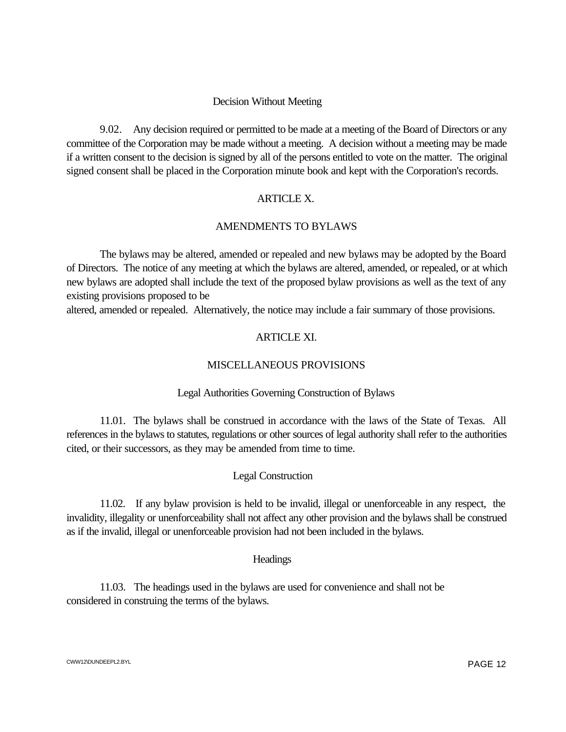#### Decision Without Meeting

9.02. Any decision required or permitted to be made at a meeting of the Board of Directors or any committee of the Corporation may be made without a meeting. A decision without a meeting may be made if a written consent to the decision is signed by all of the persons entitled to vote on the matter. The original signed consent shall be placed in the Corporation minute book and kept with the Corporation's records.

### ARTICLE X.

#### AMENDMENTS TO BYLAWS

The bylaws may be altered, amended or repealed and new bylaws may be adopted by the Board of Directors. The notice of any meeting at which the bylaws are altered, amended, or repealed, or at which new bylaws are adopted shall include the text of the proposed bylaw provisions as well as the text of any existing provisions proposed to be

altered, amended or repealed. Alternatively, the notice may include a fair summary of those provisions.

#### ARTICLE XI.

#### MISCELLANEOUS PROVISIONS

#### Legal Authorities Governing Construction of Bylaws

11.01. The bylaws shall be construed in accordance with the laws of the State of Texas. All references in the bylaws to statutes, regulations or other sources of legal authority shall refer to the authorities cited, or their successors, as they may be amended from time to time.

### Legal Construction

11.02. If any bylaw provision is held to be invalid, illegal or unenforceable in any respect, the invalidity, illegality or unenforceability shall not affect any other provision and the bylaws shall be construed as if the invalid, illegal or unenforceable provision had not been included in the bylaws.

#### **Headings**

11.03. The headings used in the bylaws are used for convenience and shall not be considered in construing the terms of the bylaws.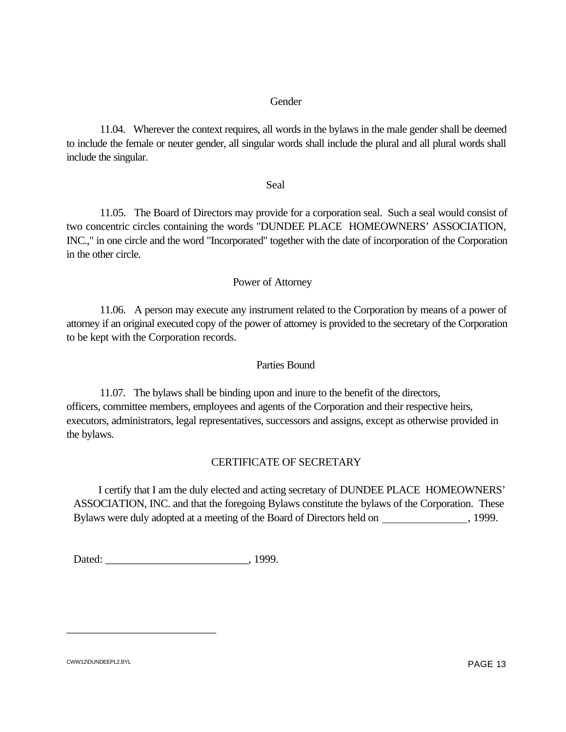#### Gender

11.04. Wherever the context requires, all words in the bylaws in the male gender shall be deemed to include the female or neuter gender, all singular words shall include the plural and all plural words shall include the singular.

#### Seal

11.05. The Board of Directors may provide for a corporation seal. Such a seal would consist of two concentric circles containing the words "DUNDEE PLACE HOMEOWNERS' ASSOCIATION, INC.," in one circle and the word "Incorporated" together with the date of incorporation of the Corporation in the other circle.

### Power of Attorney

11.06. A person may execute any instrument related to the Corporation by means of a power of attorney if an original executed copy of the power of attorney is provided to the secretary of the Corporation to be kept with the Corporation records.

#### Parties Bound

11.07. The bylaws shall be binding upon and inure to the benefit of the directors, officers, committee members, employees and agents of the Corporation and their respective heirs, executors, administrators, legal representatives, successors and assigns, except as otherwise provided in the bylaws.

### CERTIFICATE OF SECRETARY

 I certify that I am the duly elected and acting secretary of DUNDEE PLACE HOMEOWNERS' ASSOCIATION, INC. and that the foregoing Bylaws constitute the bylaws of the Corporation. These Bylaws were duly adopted at a meeting of the Board of Directors held on , 1999.

| Dated: | 1999. |
|--------|-------|
|--------|-------|

\_\_\_\_\_\_\_\_\_\_\_\_\_\_\_\_\_\_\_\_\_\_\_\_\_\_\_